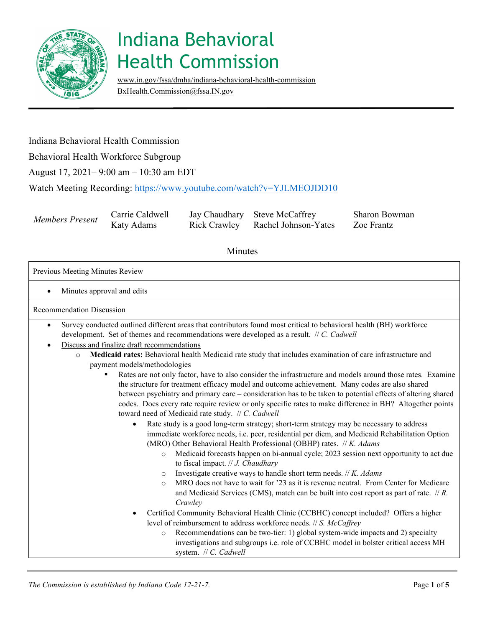

[www.in.gov/fssa/dmha/indiana-behavioral-health-commission](http://www.in.gov/fssa/dmha/indiana-behavioral-health-commission)  [BxHealth.Commission@fssa.IN.gov](mailto:BxHealth.Commission@fssa.IN.gov) 

### Indiana Behavioral Health Commission

Behavioral Health Workforce Subgroup

August 17, 2021– 9:00 am – 10:30 am EDT

Watch Meeting Recording[: https://www.youtube.com/watch?v=YJLMEOJD](https://www.youtube.com/watch?v=YJLMEOJDD10)D10

| Members Present | Carrie Caldwell | Jay Chaudhary Steve McCaffrey     |
|-----------------|-----------------|-----------------------------------|
|                 | Katy Adams      | Rick Crawley Rachel Johnson-Yates |

Sharon Bowman Zoe Frantz

#### Minutes

Previous Meeting Minutes Review

• Minutes approval and edits

Recommendation Discussion

- development. Set of themes and recommendations were developed as a result. // *C. Cadwell*  • Survey conducted outlined different areas that contributors found most critical to behavioral health (BH) workforce
- Discuss and finalize draft recommendations
	- o **Medicaid rates:** Behavioral health Medicaid rate study that includes examination of care infrastructure and payment models/methodologies
		- Rates are not only factor, have to also consider the infrastructure and models around those rates. Examine the structure for treatment efficacy model and outcome achievement. Many codes are also shared between psychiatry and primary care – consideration has to be taken to potential effects of altering shared codes. Does every rate require review or only specific rates to make difference in BH? Altogether points toward need of Medicaid rate study. // *C. Cadwell* 
			- Rate study is a good long-term strategy; short-term strategy may be necessary to address immediate workforce needs, i.e. peer, residential per diem, and Medicaid Rehabilitation Option (MRO) Other Behavioral Health Professional (OBHP) rates. // *K. Adams* 
				- o Medicaid forecasts happen on bi-annual cycle; 2023 session next opportunity to act due to fiscal impact. // *J. Chaudhary*
				- o Investigate creative ways to handle short term needs. // *K. Adams*
				- o MRO does not have to wait for '23 as it is revenue neutral. From Center for Medicare and Medicaid Services (CMS), match can be built into cost report as part of rate. // *R. Crawley*
			- Certified Community Behavioral Health Clinic (CCBHC) concept included? Offers a higher level of reimbursement to address workforce needs. // *S. McCaffrey* 
				- $\circ$  Recommendations can be two-tier: 1) global system-wide impacts and 2) specialty investigations and subgroups i.e. role of CCBHC model in bolster critical access MH system. // *C. Cadwell*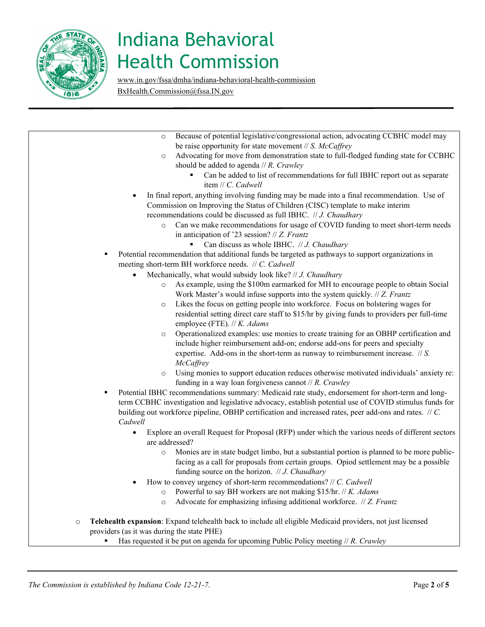

[www.in.gov/fssa/dmha/indiana-behavioral-health-commission](http://www.in.gov/fssa/dmha/indiana-behavioral-health-commission) [BxHealth.Commission@fssa.IN.gov](mailto:BxHealth.Commission@fssa.IN.gov) 

| Because of potential legislative/congressional action, advocating CCBHC model may<br>$\circ$                                                                  |  |  |  |
|---------------------------------------------------------------------------------------------------------------------------------------------------------------|--|--|--|
| be raise opportunity for state movement $\#S$ . McCaffrey                                                                                                     |  |  |  |
| Advocating for move from demonstration state to full-fledged funding state for CCBHC<br>$\circ$                                                               |  |  |  |
| should be added to agenda $//R$ . Crawley                                                                                                                     |  |  |  |
| Can be added to list of recommendations for full IBHC report out as separate                                                                                  |  |  |  |
| item // C. Cadwell                                                                                                                                            |  |  |  |
| In final report, anything involving funding may be made into a final recommendation. Use of                                                                   |  |  |  |
| Commission on Improving the Status of Children (CISC) template to make interim                                                                                |  |  |  |
| recommendations could be discussed as full IBHC. // J. Chaudhary                                                                                              |  |  |  |
| Can we make recommendations for usage of COVID funding to meet short-term needs<br>$\circ$<br>in anticipation of '23 session? $// Z.$ Frantz                  |  |  |  |
| Can discuss as whole IBHC. // J. Chaudhary<br>٠                                                                                                               |  |  |  |
| Potential recommendation that additional funds be targeted as pathways to support organizations in<br>٠                                                       |  |  |  |
| meeting short-term BH workforce needs. // C. Cadwell                                                                                                          |  |  |  |
| Mechanically, what would subsidy look like? // J. Chaudhary                                                                                                   |  |  |  |
| As example, using the \$100m earmarked for MH to encourage people to obtain Social<br>$\circ$                                                                 |  |  |  |
| Work Master's would infuse supports into the system quickly. // Z. Frantz                                                                                     |  |  |  |
| Likes the focus on getting people into workforce. Focus on bolstering wages for<br>$\circ$                                                                    |  |  |  |
| residential setting direct care staff to \$15/hr by giving funds to providers per full-time                                                                   |  |  |  |
| employee (FTE). // K. Adams                                                                                                                                   |  |  |  |
| Operationalized examples: use monies to create training for an OBHP certification and<br>$\circ$                                                              |  |  |  |
| include higher reimbursement add-on; endorse add-ons for peers and specialty                                                                                  |  |  |  |
| expertise. Add-ons in the short-term as runway to reimbursement increase. $\pi$ S.                                                                            |  |  |  |
| <b>McCaffrey</b>                                                                                                                                              |  |  |  |
|                                                                                                                                                               |  |  |  |
| Using monies to support education reduces otherwise motivated individuals' anxiety re:<br>$\circ$<br>funding in a way loan forgiveness cannot $// R.$ Crawley |  |  |  |
| Potential IBHC recommendations summary: Medicaid rate study, endorsement for short-term and long-<br>٠                                                        |  |  |  |
| term CCBHC investigation and legislative advocacy, establish potential use of COVID stimulus funds for                                                        |  |  |  |
| building out workforce pipeline, OBHP certification and increased rates, peer add-ons and rates. // C.                                                        |  |  |  |
| Cadwell                                                                                                                                                       |  |  |  |
| Explore an overall Request for Proposal (RFP) under which the various needs of different sectors<br>$\bullet$                                                 |  |  |  |
| are addressed?                                                                                                                                                |  |  |  |
| Monies are in state budget limbo, but a substantial portion is planned to be more public-<br>$\circ$                                                          |  |  |  |
| facing as a call for proposals from certain groups. Opiod settlement may be a possible                                                                        |  |  |  |
| funding source on the horizon. $// J.$ Chaudhary                                                                                                              |  |  |  |
| How to convey urgency of short-term recommendations? // C. Cadwell                                                                                            |  |  |  |
| Powerful to say BH workers are not making \$15/hr. // K. Adams<br>$\circ$                                                                                     |  |  |  |
| Advocate for emphasizing infusing additional workforce. // Z. Frantz<br>$\circ$                                                                               |  |  |  |
|                                                                                                                                                               |  |  |  |
| Telehealth expansion: Expand telehealth back to include all eligible Medicaid providers, not just licensed<br>$\circ$                                         |  |  |  |
| providers (as it was during the state PHE)                                                                                                                    |  |  |  |
| Has requested it be put on agenda for upcoming Public Policy meeting $//R$ . Crawley                                                                          |  |  |  |
|                                                                                                                                                               |  |  |  |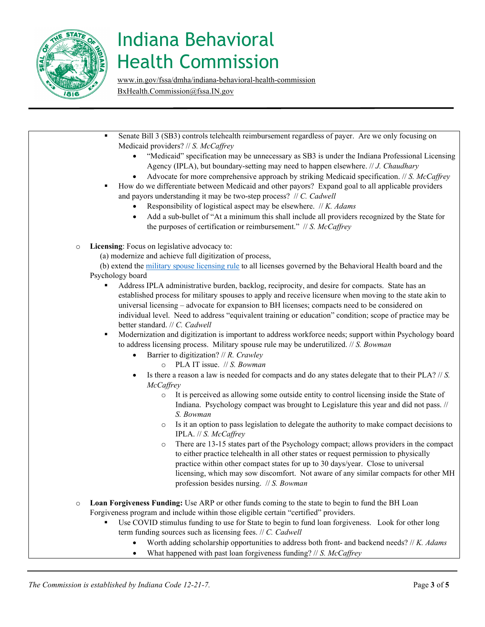

[www.in.gov/fssa/dmha/indiana-behavioral-health-commission](http://www.in.gov/fssa/dmha/indiana-behavioral-health-commission) [BxHealth.Commission@fssa.IN.gov](mailto:BxHealth.Commission@fssa.IN.gov) 

**Senate Bill 3 (SB3) controls telehealth reimbursement regardless of payer. Are we only focusing on**  individual level. Need to address "equivalent training or education" condition; scope of practice may be to address licensing process. Military spouse rule may be underutilized. // *S. Bowman*  practice within other compact states for up to 30 days/year. Close to universal • Worth adding scholarship opportunities to address both front- and backend needs? // *K. Adams* Medicaid providers? // *S. McCaffrey*  • "Medicaid" specification may be unnecessary as SB3 is under the Indiana Professional Licensing Agency (IPLA), but boundary-setting may need to happen elsewhere. // *J. Chaudhary*  • Advocate for more comprehensive approach by striking Medicaid specification. // *S. McCaffrey*  How do we differentiate between Medicaid and other payors? Expand goal to all applicable providers and payors understanding it may be two-step process? // *C. Cadwell*  • Responsibility of logistical aspect may be elsewhere. // *K. Adams*  • Add a sub-bullet of "At a minimum this shall include all providers recognized by the State for the purposes of certification or reimbursement." // *S. McCaffrey*  o **Licensing**: Focus on legislative advocacy to: (a) modernize and achieve full digitization of process, (b) extend the [military spouse licensing rule](https://www.in.gov/pla/professions/military-experience/) to all licenses governed by the Behavioral Health board and the Psychology board Address IPLA administrative burden, backlog, reciprocity, and desire for compacts. State has an established process for military spouses to apply and receive licensure when moving to the state akin to universal licensing – advocate for expansion to BH licenses; compacts need to be considered on better standard. // *C. Cadwell*  Modernization and digitization is important to address workforce needs; support within Psychology board • Barrier to digitization? // *R. Crawley*  o PLA IT issue. // *S. Bowman*  • Is there a reason a law is needed for compacts and do any states delegate that to their PLA? // *S. McCaffrey*   $\circ$  It is perceived as allowing some outside entity to control licensing inside the State of Indiana. Psychology compact was brought to Legislature this year and did not pass. // *S. Bowman*  o Is it an option to pass legislation to delegate the authority to make compact decisions to IPLA. // *S. McCaffrey*  o There are 13-15 states part of the Psychology compact; allows providers in the compact to either practice telehealth in all other states or request permission to physically licensing, which may sow discomfort. Not aware of any similar compacts for other MH profession besides nursing. // *S. Bowman*  o **Loan Forgiveness Funding:** Use ARP or other funds coming to the state to begin to fund the BH Loan Forgiveness program and include within those eligible certain "certified" providers. Use COVID stimulus funding to use for State to begin to fund loan forgiveness. Look for other long term funding sources such as licensing fees. // *C. Cadwell*  • What happened with past loan forgiveness funding? // *S. McCaffrey*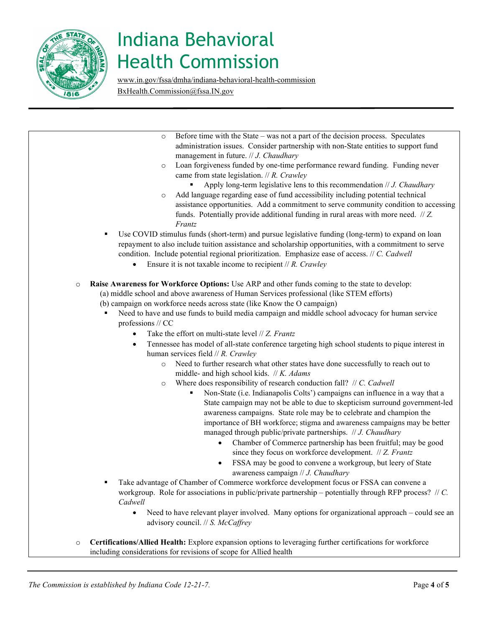

[www.in.gov/fssa/dmha/indiana-behavioral-health-commission](http://www.in.gov/fssa/dmha/indiana-behavioral-health-commission) [BxHealth.Commission@fssa.IN.gov](mailto:BxHealth.Commission@fssa.IN.gov) 

 <sup>o</sup> **Raise Awareness for Workforce Options:** Use ARP and other funds coming to the state to develop: (a) middle school and above awareness of Human Services professional (like STEM efforts) middle- and high school kids. // *K. Adams*  Non-State (i.e. Indianapolis Colts') campaigns can influence in a way that a o Before time with the State – was not a part of the decision process. Speculates administration issues. Consider partnership with non-State entities to support fund management in future. // *J. Chaudhary*  o Loan forgiveness funded by one-time performance reward funding. Funding never came from state legislation. // *R. Crawley*  Apply long-term legislative lens to this recommendation // *J. Chaudhary*  o Add language regarding ease of fund accessibility including potential technical assistance opportunities. Add a commitment to serve community condition to accessing funds. Potentially provide additional funding in rural areas with more need. // *Z. Frantz*  Use COVID stimulus funds (short-term) and pursue legislative funding (long-term) to expand on loan repayment to also include tuition assistance and scholarship opportunities, with a commitment to serve condition. Include potential regional prioritization. Emphasize ease of access. // *C. Cadwell*  • Ensure it is not taxable income to recipient // *R. Crawley*  (b) campaign on workforce needs across state (like Know the O campaign) Need to have and use funds to build media campaign and middle school advocacy for human service professions // CC • Take the effort on multi-state level // *Z. Frantz*  • Tennessee has model of all-state conference targeting high school students to pique interest in human services field // *R. Crawley*  o Need to further research what other states have done successfully to reach out to o Where does responsibility of research conduction fall? // *C. Cadwell*  State campaign may not be able to due to skepticism surround government-led awareness campaigns. State role may be to celebrate and champion the importance of BH workforce; stigma and awareness campaigns may be better managed through public/private partnerships. // *J. Chaudhary*  • Chamber of Commerce partnership has been fruitful; may be good since they focus on workforce development. // *Z. Frantz*  • FSSA may be good to convene a workgroup, but leery of State awareness campaign // *J. Chaudhary*  Take advantage of Chamber of Commerce workforce development focus or FSSA can convene a workgroup. Role for associations in public/private partnership – potentially through RFP process? // *C. Cadwell*  • Need to have relevant player involved. Many options for organizational approach – could see an advisory council. // *S. McCaffrey*  o **Certifications/Allied Health:** Explore expansion options to leveraging further certifications for workforce including considerations for revisions of scope for Allied health